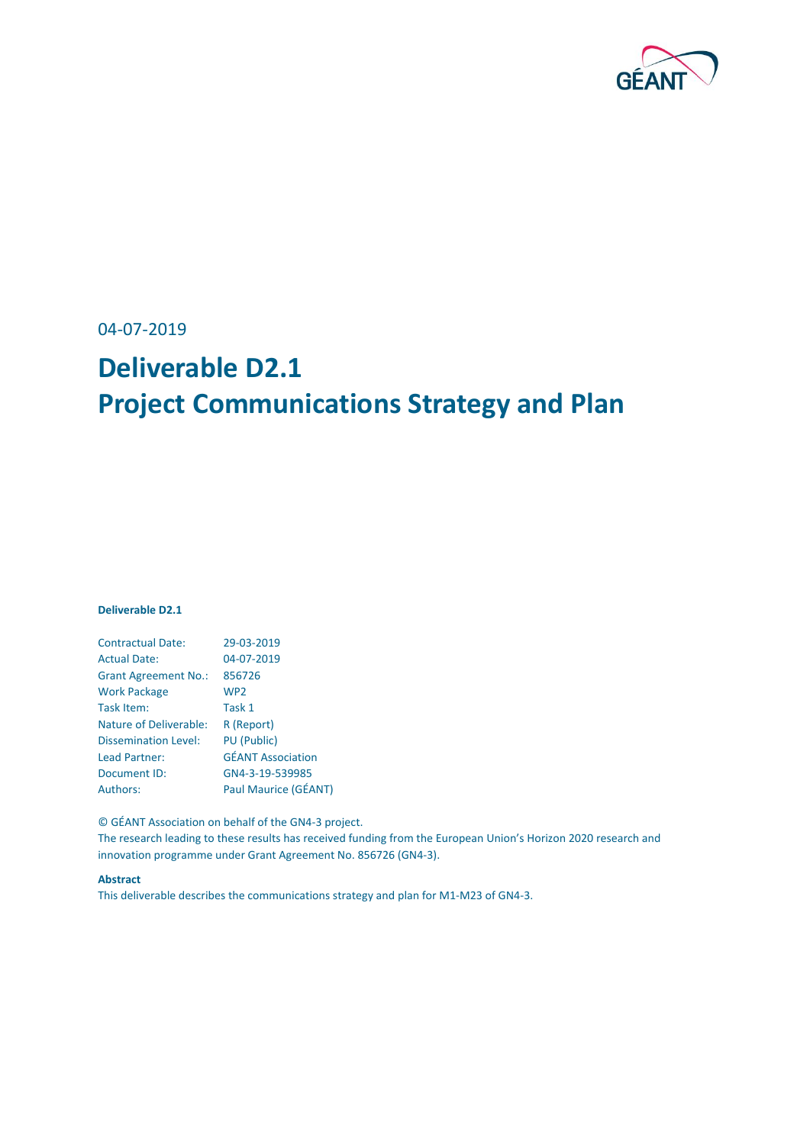

04-07-2019

# **Deliverable D2.1 Project Communications Strategy and Plan**

#### **Deliverable D2.1**

| <b>Contractual Date:</b>      | 29-03-2019               |
|-------------------------------|--------------------------|
| <b>Actual Date:</b>           | 04-07-2019               |
| <b>Grant Agreement No.:</b>   | 856726                   |
| <b>Work Package</b>           | WP <sub>2</sub>          |
| Task Item:                    | Task 1                   |
| <b>Nature of Deliverable:</b> | R (Report)               |
| <b>Dissemination Level:</b>   | <b>PU (Public)</b>       |
| Lead Partner:                 | <b>GÉANT Association</b> |
| Document ID:                  | GN4-3-19-539985          |
| <b>Authors:</b>               | Paul Maurice (GÉANT)     |

© GÉANT Association on behalf of the GN4-3 project.

The research leading to these results has received funding from the European Union's Horizon 2020 research and innovation programme under Grant Agreement No. 856726 (GN4-3).

#### **Abstract**

This deliverable describes the communications strategy and plan for M1-M23 of GN4-3.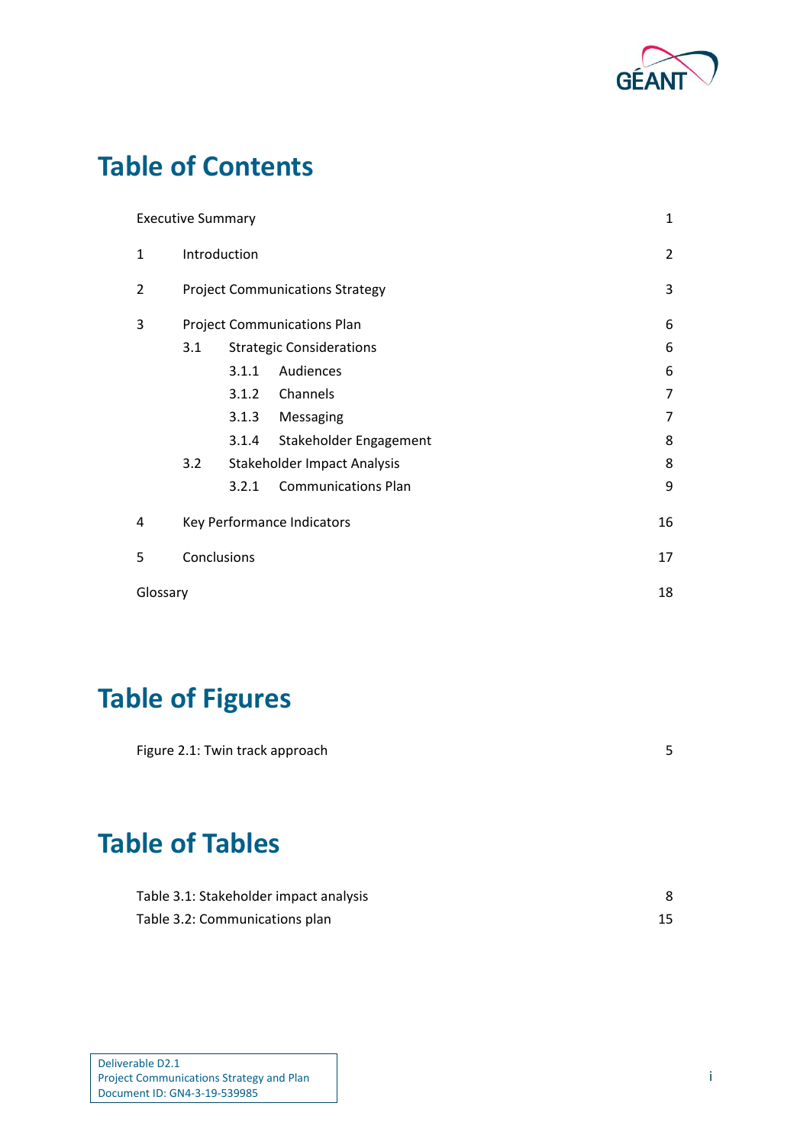

## **Table of Contents**

|          | <b>Executive Summary</b>               |       |                                    | 1              |
|----------|----------------------------------------|-------|------------------------------------|----------------|
| 1        | Introduction                           |       |                                    | $\overline{2}$ |
| 2        | <b>Project Communications Strategy</b> |       |                                    | 3              |
| 3        |                                        |       | <b>Project Communications Plan</b> | 6              |
|          | 3.1                                    |       | <b>Strategic Considerations</b>    | 6              |
|          |                                        | 3.1.1 | Audiences                          | 6              |
|          |                                        | 3.1.2 | Channels                           | 7              |
|          |                                        | 3.1.3 | Messaging                          | 7              |
|          |                                        | 3.1.4 | Stakeholder Engagement             | 8              |
|          | 3.2                                    |       | Stakeholder Impact Analysis        | 8              |
|          |                                        | 3.2.1 | <b>Communications Plan</b>         | 9              |
| 4        |                                        |       | Key Performance Indicators         | 16             |
| 5        | Conclusions                            |       | 17                                 |                |
| Glossary |                                        |       |                                    | 18             |

# **Table of Figures**

| Figure 2.1: Twin track approach |  |
|---------------------------------|--|
|                                 |  |

## **Table of Tables**

| Table 3.1: Stakeholder impact analysis |  |
|----------------------------------------|--|
| Table 3.2: Communications plan         |  |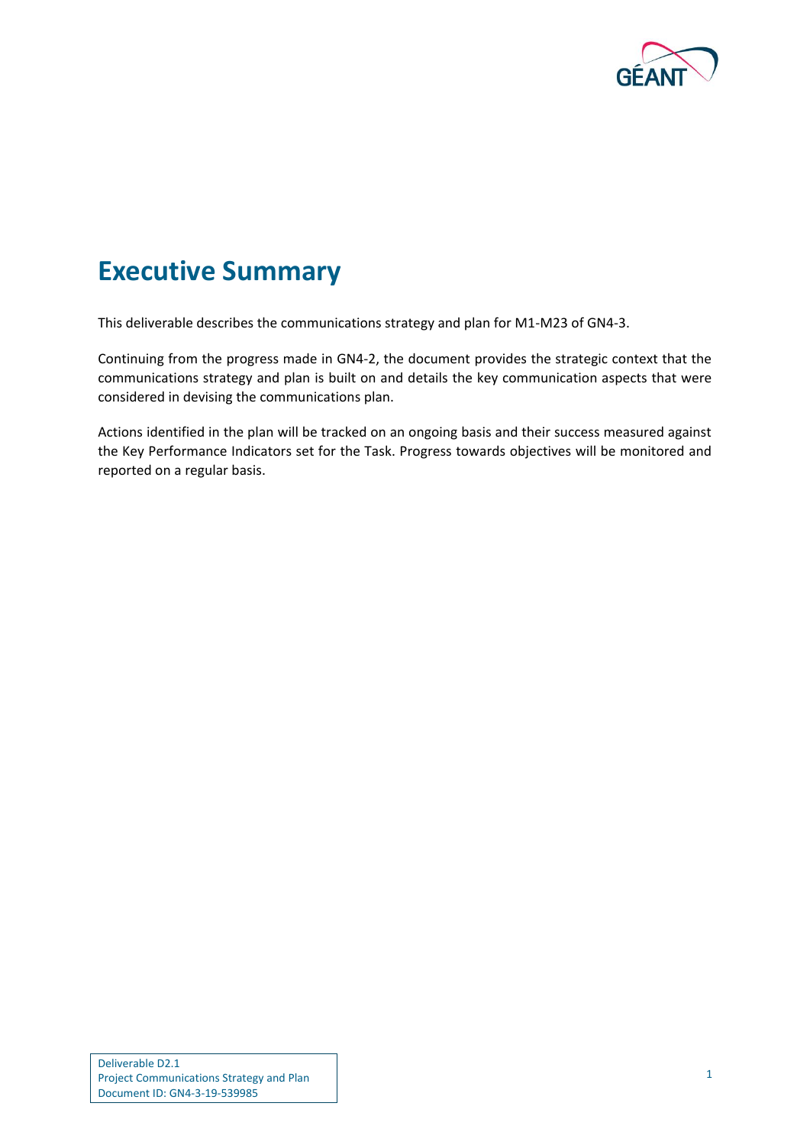

## <span id="page-2-0"></span>**Executive Summary**

This deliverable describes the communications strategy and plan for M1-M23 of GN4-3.

Continuing from the progress made in GN4-2, the document provides the strategic context that the communications strategy and plan is built on and details the key communication aspects that were considered in devising the communications plan.

Actions identified in the plan will be tracked on an ongoing basis and their success measured against the Key Performance Indicators set for the Task. Progress towards objectives will be monitored and reported on a regular basis.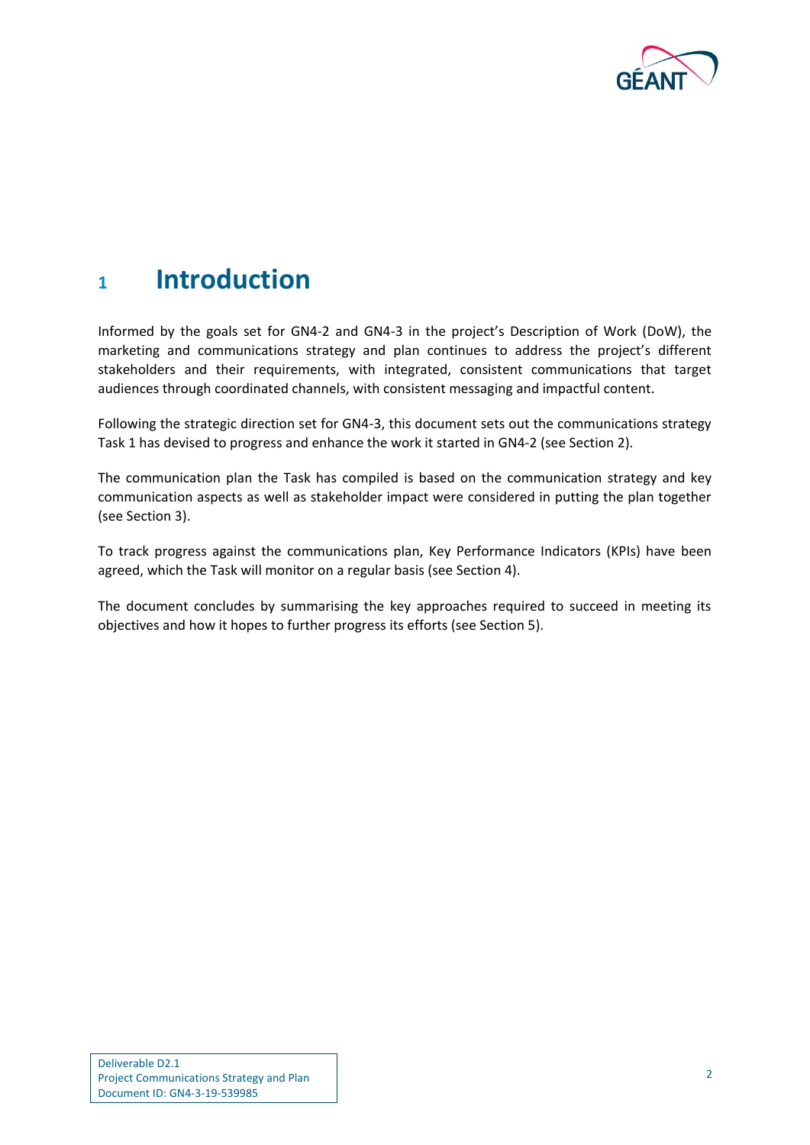

### <span id="page-3-0"></span>**<sup>1</sup> Introduction**

Informed by the goals set for GN4-2 and GN4-3 in the project's Description of Work (DoW), the marketing and communications strategy and plan continues to address the project's different stakeholders and their requirements, with integrated, consistent communications that target audiences through coordinated channels, with consistent messaging and impactful content.

Following the strategic direction set for GN4-3, this document sets out the communications strategy Task 1 has devised to progress and enhance the work it started in GN4-2 (see Section 2).

The communication plan the Task has compiled is based on the communication strategy and key communication aspects as well as stakeholder impact were considered in putting the plan together (see Section 3).

To track progress against the communications plan, Key Performance Indicators (KPIs) have been agreed, which the Task will monitor on a regular basis (see Section 4).

The document concludes by summarising the key approaches required to succeed in meeting its objectives and how it hopes to further progress its efforts (see Section 5).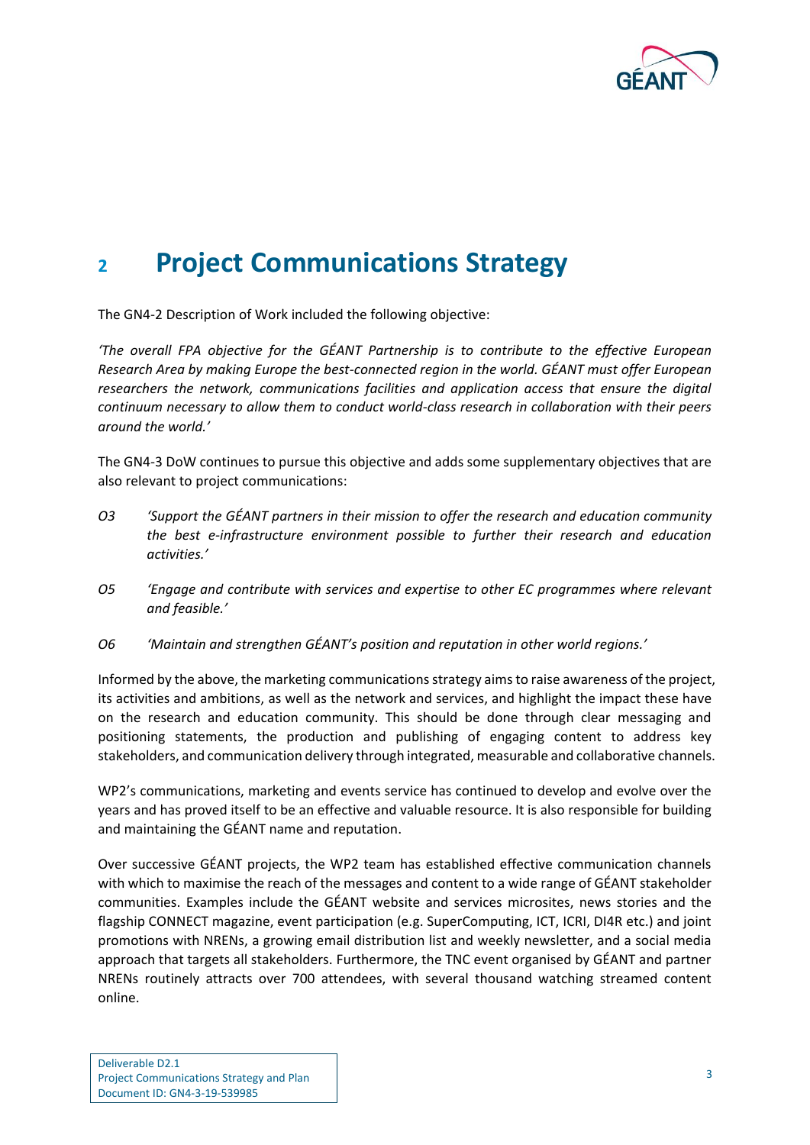

## <span id="page-4-0"></span>**<sup>2</sup> Project Communications Strategy**

The GN4-2 Description of Work included the following objective:

*'The overall FPA objective for the GÉANT Partnership is to contribute to the effective European Research Area by making Europe the best-connected region in the world. GÉANT must offer European researchers the network, communications facilities and application access that ensure the digital continuum necessary to allow them to conduct world-class research in collaboration with their peers around the world.'*

The GN4-3 DoW continues to pursue this objective and adds some supplementary objectives that are also relevant to project communications:

- *O3 'Support the GÉANT partners in their mission to offer the research and education community the best e-infrastructure environment possible to further their research and education activities.'*
- *O5 'Engage and contribute with services and expertise to other EC programmes where relevant and feasible.'*
- *O6 'Maintain and strengthen GÉANT's position and reputation in other world regions.'*

Informed by the above, the marketing communications strategy aims to raise awareness of the project, its activities and ambitions, as well as the network and services, and highlight the impact these have on the research and education community. This should be done through clear messaging and positioning statements, the production and publishing of engaging content to address key stakeholders, and communication delivery through integrated, measurable and collaborative channels.

WP2's communications, marketing and events service has continued to develop and evolve over the years and has proved itself to be an effective and valuable resource. It is also responsible for building and maintaining the GÉANT name and reputation.

Over successive GÉANT projects, the WP2 team has established effective communication channels with which to maximise the reach of the messages and content to a wide range of GÉANT stakeholder communities. Examples include the GÉANT website and services microsites, news stories and the flagship CONNECT magazine, event participation (e.g. SuperComputing, ICT, ICRI, DI4R etc.) and joint promotions with NRENs, a growing email distribution list and weekly newsletter, and a social media approach that targets all stakeholders. Furthermore, the TNC event organised by GÉANT and partner NRENs routinely attracts over 700 attendees, with several thousand watching streamed content online.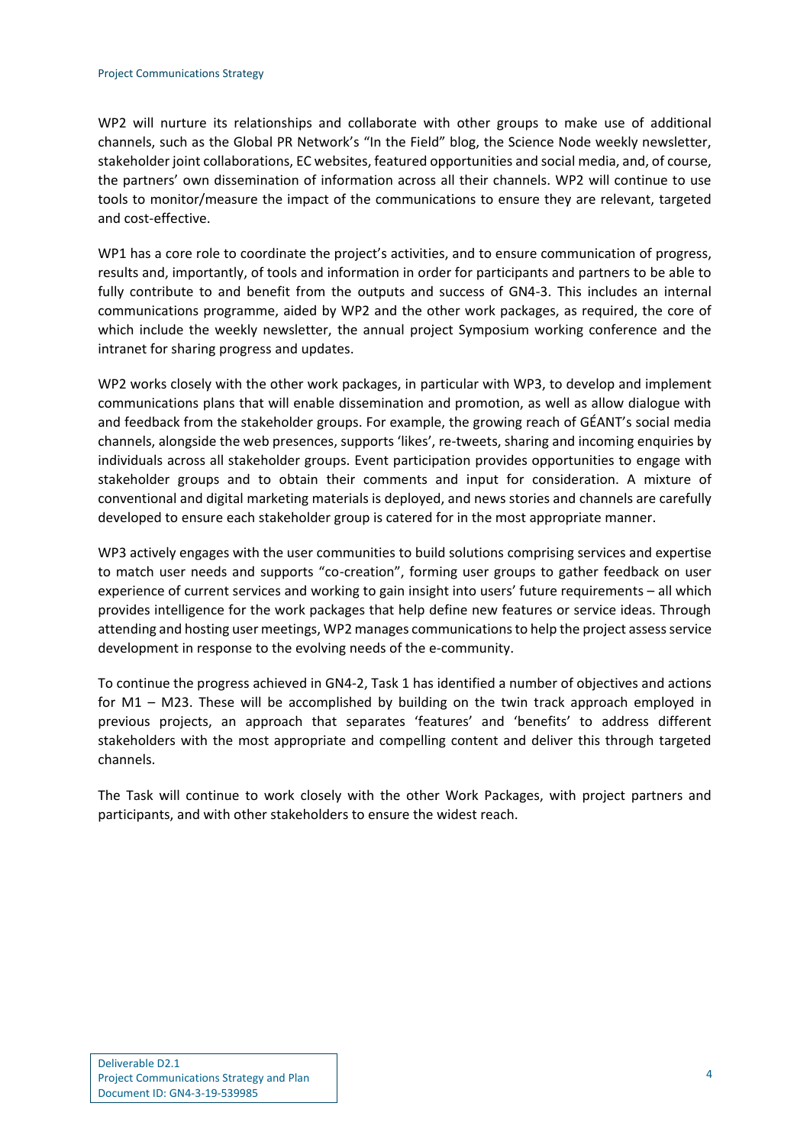#### Project Communications Strategy

WP2 will nurture its relationships and collaborate with other groups to make use of additional channels, such as the Global PR Network's "In the Field" blog, the Science Node weekly newsletter, stakeholder joint collaborations, EC websites, featured opportunities and social media, and, of course, the partners' own dissemination of information across all their channels. WP2 will continue to use tools to monitor/measure the impact of the communications to ensure they are relevant, targeted and cost-effective.

WP1 has a core role to coordinate the project's activities, and to ensure communication of progress, results and, importantly, of tools and information in order for participants and partners to be able to fully contribute to and benefit from the outputs and success of GN4-3. This includes an internal communications programme, aided by WP2 and the other work packages, as required, the core of which include the weekly newsletter, the annual project Symposium working conference and the intranet for sharing progress and updates.

WP2 works closely with the other work packages, in particular with WP3, to develop and implement communications plans that will enable dissemination and promotion, as well as allow dialogue with and feedback from the stakeholder groups. For example, the growing reach of GÉANT's social media channels, alongside the web presences, supports 'likes', re-tweets, sharing and incoming enquiries by individuals across all stakeholder groups. Event participation provides opportunities to engage with stakeholder groups and to obtain their comments and input for consideration. A mixture of conventional and digital marketing materials is deployed, and news stories and channels are carefully developed to ensure each stakeholder group is catered for in the most appropriate manner.

WP3 actively engages with the user communities to build solutions comprising services and expertise to match user needs and supports "co-creation", forming user groups to gather feedback on user experience of current services and working to gain insight into users' future requirements – all which provides intelligence for the work packages that help define new features or service ideas. Through attending and hosting user meetings, WP2 manages communications to help the project assess service development in response to the evolving needs of the e-community.

To continue the progress achieved in GN4-2, Task 1 has identified a number of objectives and actions for M1 – M23. These will be accomplished by building on the twin track approach employed in previous projects, an approach that separates 'features' and 'benefits' to address different stakeholders with the most appropriate and compelling content and deliver this through targeted channels.

The Task will continue to work closely with the other Work Packages, with project partners and participants, and with other stakeholders to ensure the widest reach.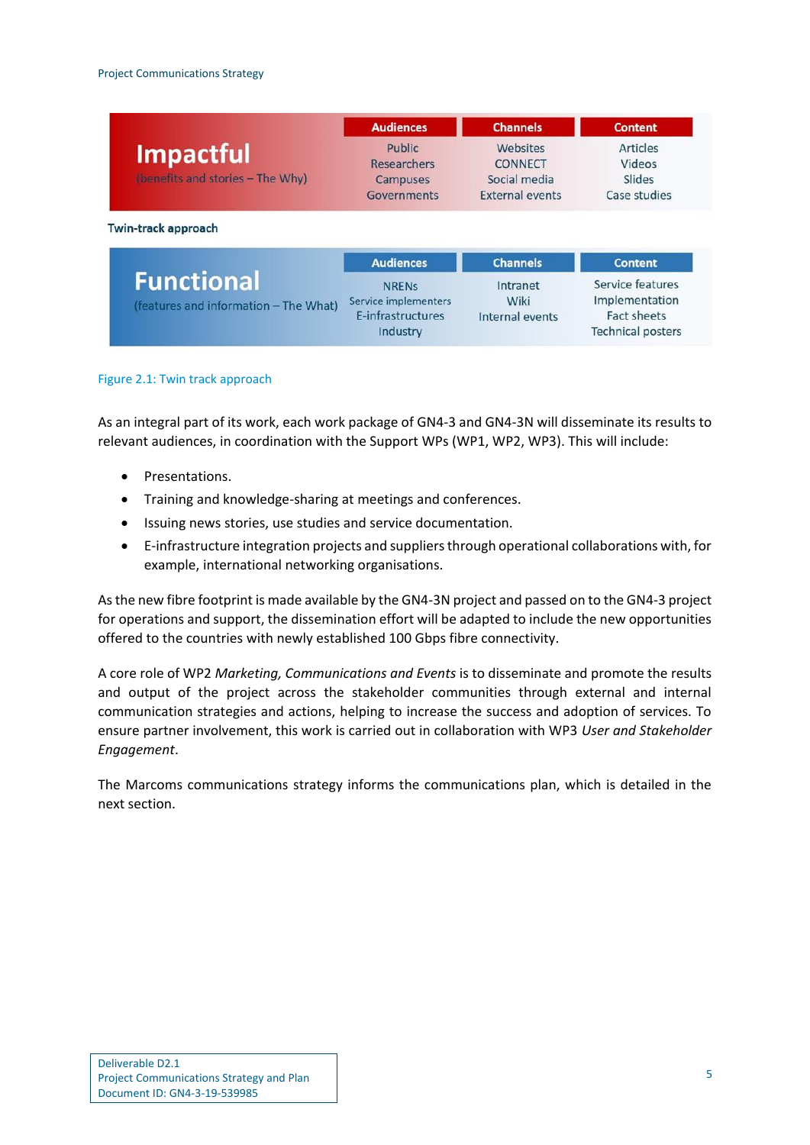|                                       | <b>Audiences</b>     | <b>Channels</b>        | <b>Content</b>     |
|---------------------------------------|----------------------|------------------------|--------------------|
| <b>Impactful</b>                      | Public               | Websites               | <b>Articles</b>    |
|                                       | <b>Researchers</b>   | <b>CONNECT</b>         | Videos             |
| (benefits and stories - The Why)      | <b>Campuses</b>      | Social media           | Slides             |
|                                       | Governments          | <b>External events</b> | Case studies       |
|                                       | <b>Audiences</b>     | <b>Channels</b>        | <b>Content</b>     |
| <b>Functional</b>                     | <b>NRENS</b>         | Intranet               | Service features   |
| (features and information - The What) | Service implementers | Wiki                   | Implementation     |
|                                       | E-infrastructures    |                        | <b>Fact sheets</b> |

Industry

<span id="page-6-0"></span>Figure 2.1: Twin track approach

As an integral part of its work, each work package of GN4-3 and GN4-3N will disseminate its results to relevant audiences, in coordination with the Support WPs (WP1, WP2, WP3). This will include:

- Presentations.
- Training and knowledge-sharing at meetings and conferences.
- Issuing news stories, use studies and service documentation.
- E-infrastructure integration projects and suppliers through operational collaborations with, for example, international networking organisations.

As the new fibre footprint is made available by the GN4-3N project and passed on to the GN4-3 project for operations and support, the dissemination effort will be adapted to include the new opportunities offered to the countries with newly established 100 Gbps fibre connectivity.

A core role of WP2 *Marketing, Communications and Events* is to disseminate and promote the results and output of the project across the stakeholder communities through external and internal communication strategies and actions, helping to increase the success and adoption of services. To ensure partner involvement, this work is carried out in collaboration with WP3 *User and Stakeholder Engagement*.

The Marcoms communications strategy informs the communications plan, which is detailed in the next section.

**Technical posters**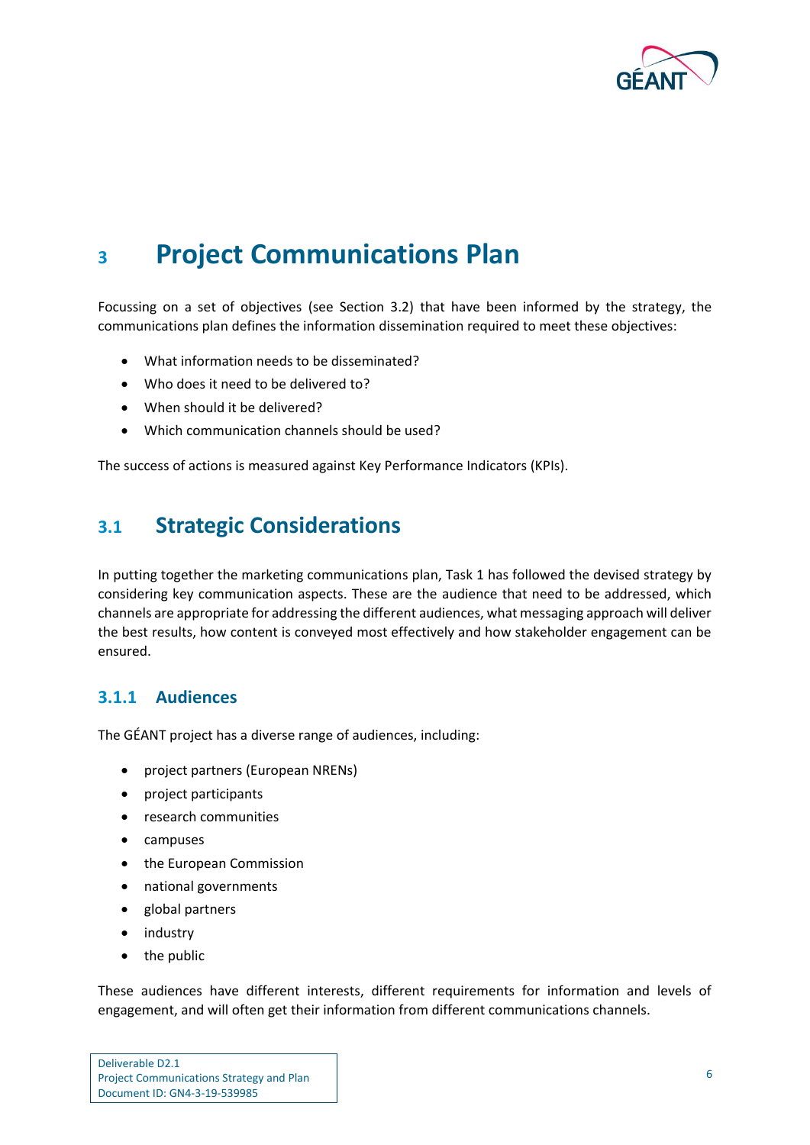

## <span id="page-7-0"></span>**<sup>3</sup> Project Communications Plan**

Focussing on a set of objectives (see Section 3.2) that have been informed by the strategy, the communications plan defines the information dissemination required to meet these objectives:

- What information needs to be disseminated?
- Who does it need to be delivered to?
- When should it be delivered?
- Which communication channels should be used?

The success of actions is measured against Key Performance Indicators (KPIs).

### <span id="page-7-1"></span>**3.1 Strategic Considerations**

In putting together the marketing communications plan, Task 1 has followed the devised strategy by considering key communication aspects. These are the audience that need to be addressed, which channels are appropriate for addressing the different audiences, what messaging approach will deliver the best results, how content is conveyed most effectively and how stakeholder engagement can be ensured.

### <span id="page-7-2"></span>**3.1.1 Audiences**

The GÉANT project has a diverse range of audiences, including:

- project partners (European NRENs)
- project participants
- research communities
- campuses
- the European Commission
- national governments
- global partners
- industry
- the public

These audiences have different interests, different requirements for information and levels of engagement, and will often get their information from different communications channels.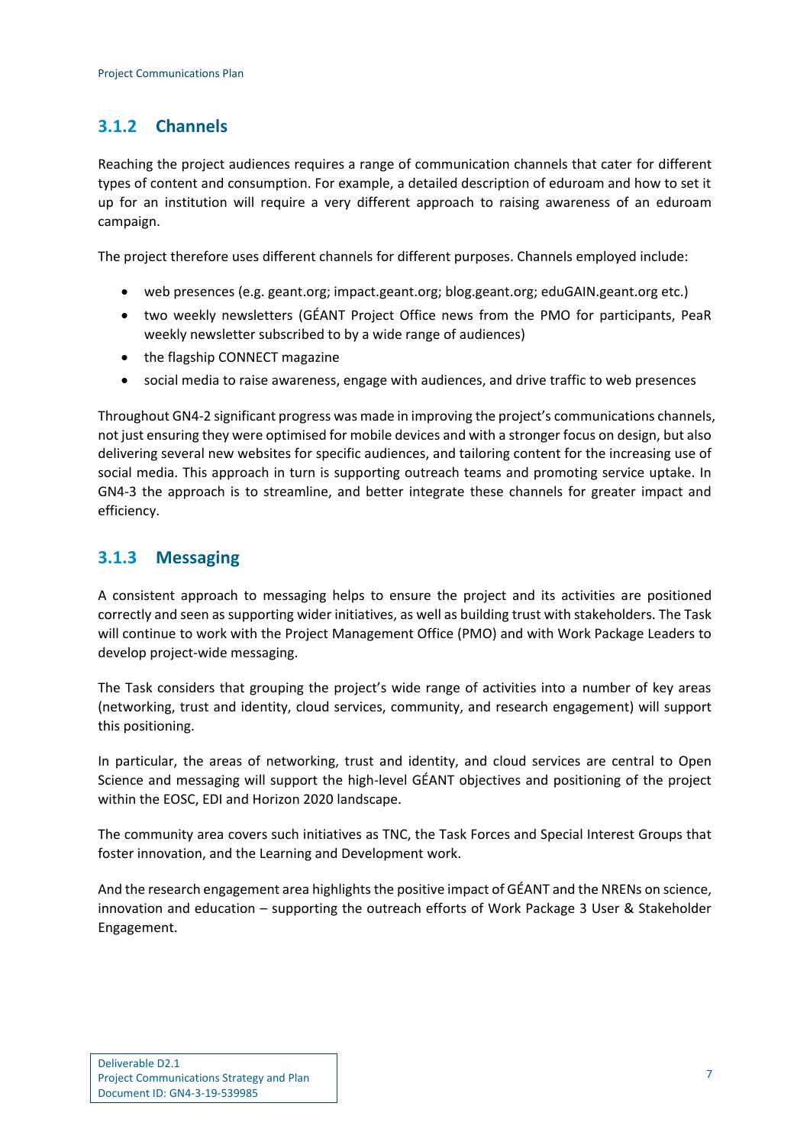### <span id="page-8-0"></span>**3.1.2 Channels**

Reaching the project audiences requires a range of communication channels that cater for different types of content and consumption. For example, a detailed description of eduroam and how to set it up for an institution will require a very different approach to raising awareness of an eduroam campaign.

The project therefore uses different channels for different purposes. Channels employed include:

- web presences (e.g. geant.org; impact.geant.org; blog.geant.org; eduGAIN.geant.org etc.)
- two weekly newsletters (GÉANT Project Office news from the PMO for participants, PeaR weekly newsletter subscribed to by a wide range of audiences)
- the flagship CONNECT magazine
- social media to raise awareness, engage with audiences, and drive traffic to web presences

Throughout GN4-2 significant progress was made in improving the project's communications channels, not just ensuring they were optimised for mobile devices and with a stronger focus on design, but also delivering several new websites for specific audiences, and tailoring content for the increasing use of social media. This approach in turn is supporting outreach teams and promoting service uptake. In GN4-3 the approach is to streamline, and better integrate these channels for greater impact and efficiency.

### <span id="page-8-1"></span>**3.1.3 Messaging**

A consistent approach to messaging helps to ensure the project and its activities are positioned correctly and seen as supporting wider initiatives, as well as building trust with stakeholders. The Task will continue to work with the Project Management Office (PMO) and with Work Package Leaders to develop project-wide messaging.

The Task considers that grouping the project's wide range of activities into a number of key areas (networking, trust and identity, cloud services, community, and research engagement) will support this positioning.

In particular, the areas of networking, trust and identity, and cloud services are central to Open Science and messaging will support the high-level GÉANT objectives and positioning of the project within the EOSC, EDI and Horizon 2020 landscape.

The community area covers such initiatives as TNC, the Task Forces and Special Interest Groups that foster innovation, and the Learning and Development work.

And the research engagement area highlights the positive impact of GÉANT and the NRENs on science, innovation and education – supporting the outreach efforts of Work Package 3 User & Stakeholder Engagement.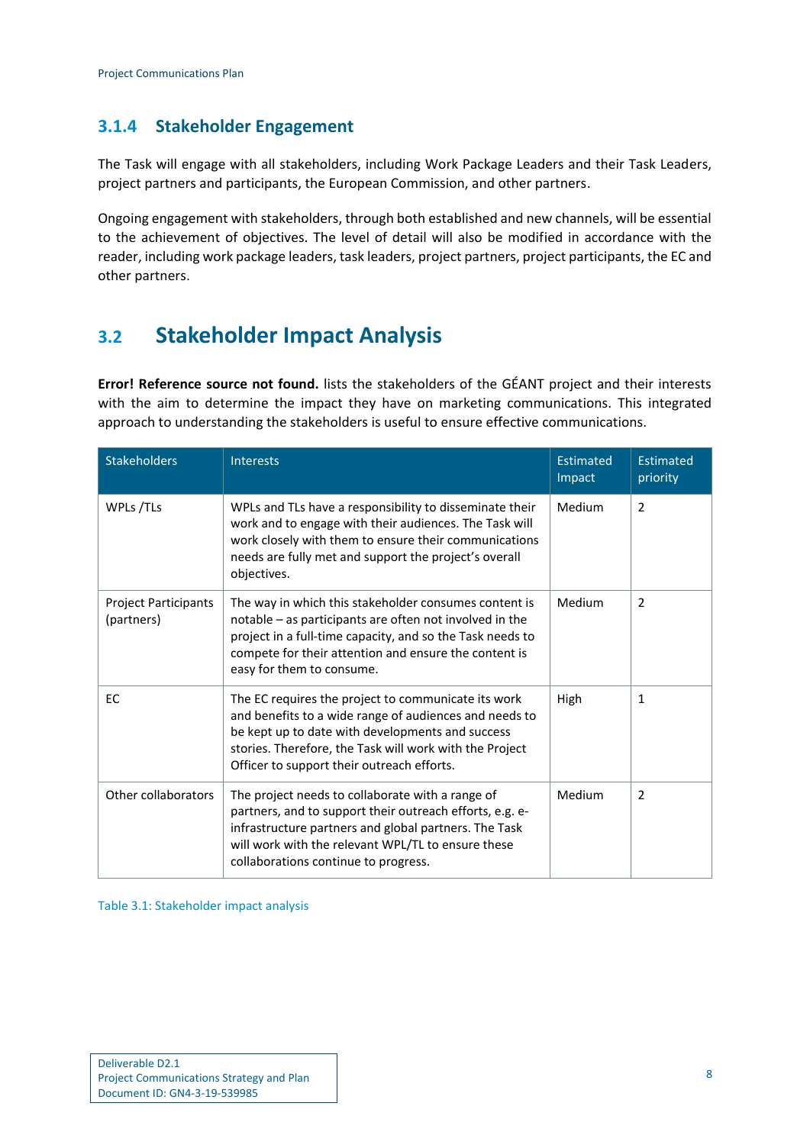### <span id="page-9-0"></span>**3.1.4 Stakeholder Engagement**

The Task will engage with all stakeholders, including Work Package Leaders and their Task Leaders, project partners and participants, the European Commission, and other partners.

Ongoing engagement with stakeholders, through both established and new channels, will be essential to the achievement of objectives. The level of detail will also be modified in accordance with the reader, including work package leaders, task leaders, project partners, project participants, the EC and other partners.

### <span id="page-9-1"></span>**3.2 Stakeholder Impact Analysis**

**Error! Reference source not found.** lists the stakeholders of the GÉANT project and their interests with the aim to determine the impact they have on marketing communications. This integrated approach to understanding the stakeholders is useful to ensure effective communications.

| <b>Stakeholders</b>                | <b>Interests</b>                                                                                                                                                                                                                                                           | <b>Estimated</b><br>Impact | <b>Estimated</b><br>priority |
|------------------------------------|----------------------------------------------------------------------------------------------------------------------------------------------------------------------------------------------------------------------------------------------------------------------------|----------------------------|------------------------------|
| WPLs /TLs                          | WPLs and TLs have a responsibility to disseminate their<br>work and to engage with their audiences. The Task will<br>work closely with them to ensure their communications<br>needs are fully met and support the project's overall<br>objectives.                         | Medium                     | $\overline{2}$               |
| Project Participants<br>(partners) | The way in which this stakeholder consumes content is<br>notable – as participants are often not involved in the<br>project in a full-time capacity, and so the Task needs to<br>compete for their attention and ensure the content is<br>easy for them to consume.        | Medium                     | 2                            |
| EC                                 | The EC requires the project to communicate its work<br>and benefits to a wide range of audiences and needs to<br>be kept up to date with developments and success<br>stories. Therefore, the Task will work with the Project<br>Officer to support their outreach efforts. | High                       | $\mathbf{1}$                 |
| Other collaborators                | The project needs to collaborate with a range of<br>partners, and to support their outreach efforts, e.g. e-<br>infrastructure partners and global partners. The Task<br>will work with the relevant WPL/TL to ensure these<br>collaborations continue to progress.        | Medium                     | 2                            |

<span id="page-9-2"></span>Table 3.1: Stakeholder impact analysis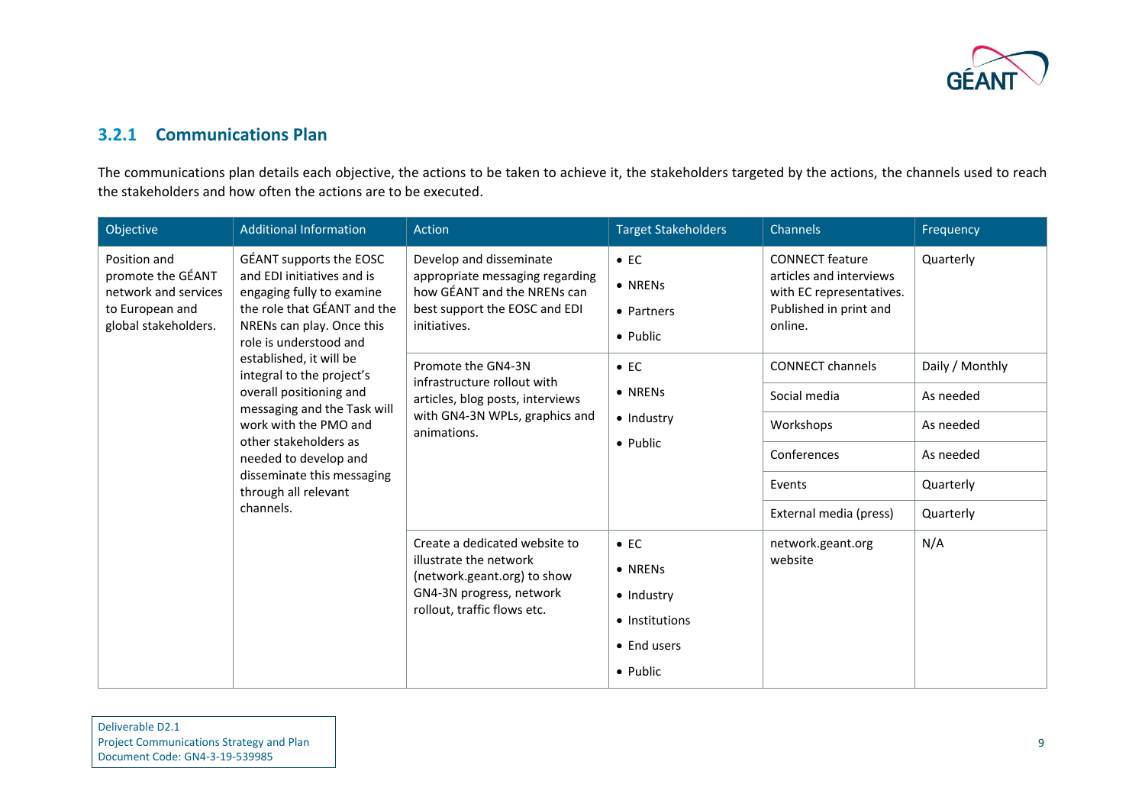

### **3.2.1 Communications Plan**

The communications plan details each objective, the actions to be taken to achieve it, the stakeholders targeted by the actions, the channels used to reach the stakeholders and how often the actions are to be executed.

<span id="page-10-0"></span>

| Objective                                                                                            | <b>Additional Information</b>                                                                                                                                                                        | Action                                                                                                                                     | <b>Target Stakeholders</b>                         | Channels                                                                                                           | Frequency       |
|------------------------------------------------------------------------------------------------------|------------------------------------------------------------------------------------------------------------------------------------------------------------------------------------------------------|--------------------------------------------------------------------------------------------------------------------------------------------|----------------------------------------------------|--------------------------------------------------------------------------------------------------------------------|-----------------|
| Position and<br>promote the GÉANT<br>network and services<br>to European and<br>global stakeholders. | GÉANT supports the EOSC<br>and EDI initiatives and is<br>engaging fully to examine<br>the role that GÉANT and the<br>NRENs can play. Once this<br>role is understood and<br>established, it will be  | Develop and disseminate<br>appropriate messaging regarding<br>how GÉANT and the NRENs can<br>best support the EOSC and EDI<br>initiatives. | $\bullet$ EC<br>• NRENs<br>• Partners<br>• Public  | <b>CONNECT</b> feature<br>articles and interviews<br>with EC representatives.<br>Published in print and<br>online. | Quarterly       |
|                                                                                                      | integral to the project's                                                                                                                                                                            | Promote the GN4-3N<br>infrastructure rollout with                                                                                          | $\bullet$ EC                                       | <b>CONNECT channels</b>                                                                                            | Daily / Monthly |
|                                                                                                      | overall positioning and<br>messaging and the Task will<br>work with the PMO and<br>other stakeholders as<br>needed to develop and<br>disseminate this messaging<br>through all relevant<br>channels. | articles, blog posts, interviews<br>with GN4-3N WPLs, graphics and<br>animations.                                                          | • NRENs                                            | Social media                                                                                                       | As needed       |
|                                                                                                      |                                                                                                                                                                                                      |                                                                                                                                            | • Industry<br>Workshops<br>• Public<br>Conferences |                                                                                                                    | As needed       |
|                                                                                                      |                                                                                                                                                                                                      |                                                                                                                                            |                                                    |                                                                                                                    | As needed       |
|                                                                                                      |                                                                                                                                                                                                      |                                                                                                                                            |                                                    | Events                                                                                                             | Quarterly       |
|                                                                                                      |                                                                                                                                                                                                      |                                                                                                                                            |                                                    | External media (press)                                                                                             | Quarterly       |
|                                                                                                      |                                                                                                                                                                                                      | Create a dedicated website to                                                                                                              | $\bullet$ EC                                       | network.geant.org                                                                                                  | N/A             |
|                                                                                                      |                                                                                                                                                                                                      | illustrate the network<br>(network.geant.org) to show                                                                                      | • NRENs                                            | website                                                                                                            |                 |
|                                                                                                      |                                                                                                                                                                                                      | GN4-3N progress, network                                                                                                                   | • Industry                                         |                                                                                                                    |                 |
|                                                                                                      |                                                                                                                                                                                                      | rollout, traffic flows etc.                                                                                                                | • Institutions                                     |                                                                                                                    |                 |
|                                                                                                      |                                                                                                                                                                                                      |                                                                                                                                            | • End users                                        |                                                                                                                    |                 |
|                                                                                                      |                                                                                                                                                                                                      |                                                                                                                                            | • Public                                           |                                                                                                                    |                 |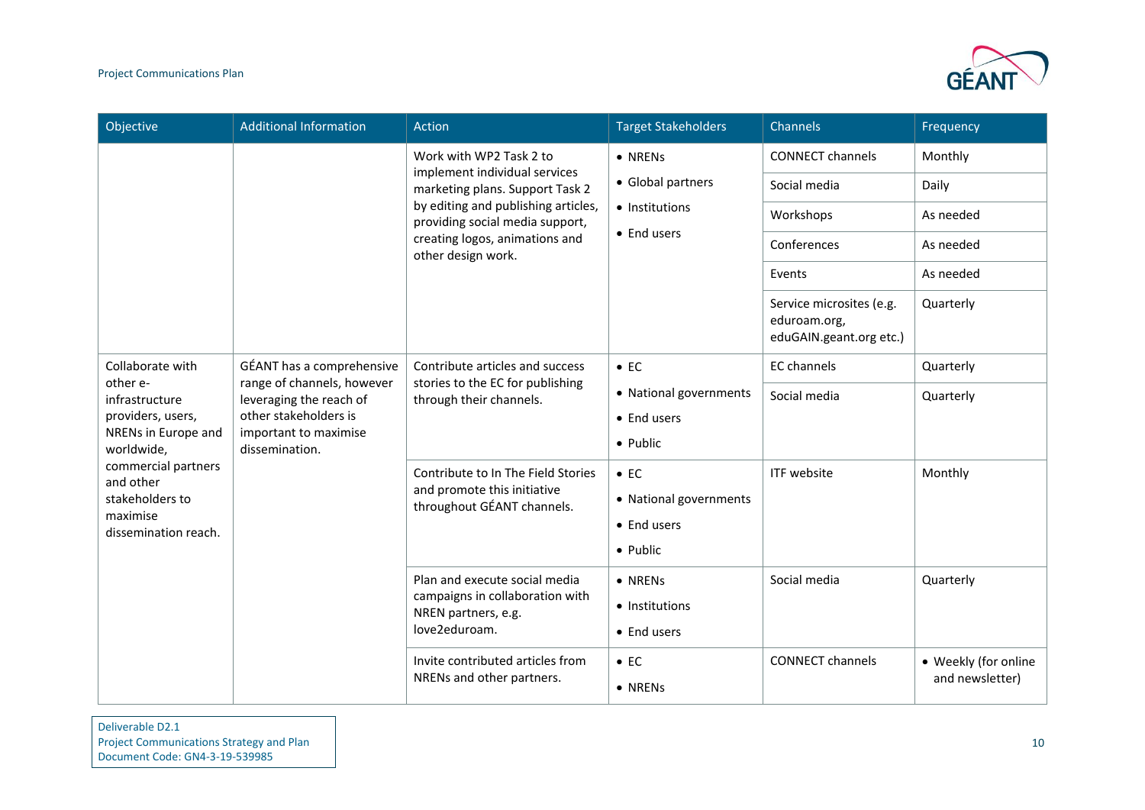

| Objective                                | <b>Additional Information</b>                                                                                                                          | Action                                                                                                                                                                                            | <b>Target Stakeholders</b> | Channels                                                            | Frequency            |
|------------------------------------------|--------------------------------------------------------------------------------------------------------------------------------------------------------|---------------------------------------------------------------------------------------------------------------------------------------------------------------------------------------------------|----------------------------|---------------------------------------------------------------------|----------------------|
|                                          |                                                                                                                                                        | Work with WP2 Task 2 to                                                                                                                                                                           | • NRENs                    | <b>CONNECT channels</b>                                             | Monthly              |
|                                          |                                                                                                                                                        | implement individual services<br>marketing plans. Support Task 2                                                                                                                                  | • Global partners          | Social media                                                        | Daily                |
|                                          |                                                                                                                                                        | by editing and publishing articles,<br>providing social media support,                                                                                                                            | • Institutions             | Workshops                                                           | As needed            |
|                                          |                                                                                                                                                        | creating logos, animations and<br>other design work.                                                                                                                                              | • End users                | Conferences                                                         | As needed            |
|                                          |                                                                                                                                                        |                                                                                                                                                                                                   |                            | Events                                                              | As needed            |
|                                          |                                                                                                                                                        |                                                                                                                                                                                                   |                            | Service microsites (e.g.<br>eduroam.org,<br>eduGAIN.geant.org etc.) | Quarterly            |
| Collaborate with                         | GÉANT has a comprehensive<br>range of channels, however<br>leveraging the reach of<br>other stakeholders is<br>important to maximise<br>dissemination. | Contribute articles and success<br>stories to the EC for publishing<br>through their channels.<br>Contribute to In The Field Stories<br>and promote this initiative<br>throughout GÉANT channels. | $\bullet$ EC               | <b>EC</b> channels                                                  | Quarterly            |
| other e-<br>infrastructure               |                                                                                                                                                        |                                                                                                                                                                                                   | • National governments     | Social media                                                        | Quarterly            |
| providers, users,<br>NRENs in Europe and |                                                                                                                                                        |                                                                                                                                                                                                   | • End users                |                                                                     |                      |
| worldwide,                               |                                                                                                                                                        |                                                                                                                                                                                                   | • Public                   |                                                                     |                      |
| commercial partners<br>and other         |                                                                                                                                                        |                                                                                                                                                                                                   | $\bullet$ EC               | ITF website                                                         | Monthly              |
| stakeholders to<br>maximise              |                                                                                                                                                        |                                                                                                                                                                                                   | • National governments     |                                                                     |                      |
| dissemination reach.                     |                                                                                                                                                        |                                                                                                                                                                                                   | • End users                |                                                                     |                      |
|                                          |                                                                                                                                                        |                                                                                                                                                                                                   | • Public                   |                                                                     |                      |
|                                          |                                                                                                                                                        | Plan and execute social media<br>campaigns in collaboration with                                                                                                                                  | • NRENs                    | Social media                                                        | Quarterly            |
|                                          |                                                                                                                                                        | NREN partners, e.g.                                                                                                                                                                               | • Institutions             |                                                                     |                      |
|                                          |                                                                                                                                                        | love2eduroam.                                                                                                                                                                                     | • End users                |                                                                     |                      |
|                                          |                                                                                                                                                        | Invite contributed articles from                                                                                                                                                                  | $\bullet$ EC               | <b>CONNECT channels</b>                                             | • Weekly (for online |
|                                          |                                                                                                                                                        | NRENs and other partners.                                                                                                                                                                         | • NRENs                    |                                                                     | and newsletter)      |

#### Deliverable D2.1 Project Communications Strategy and Plan Document Code: GN4-3-19-539985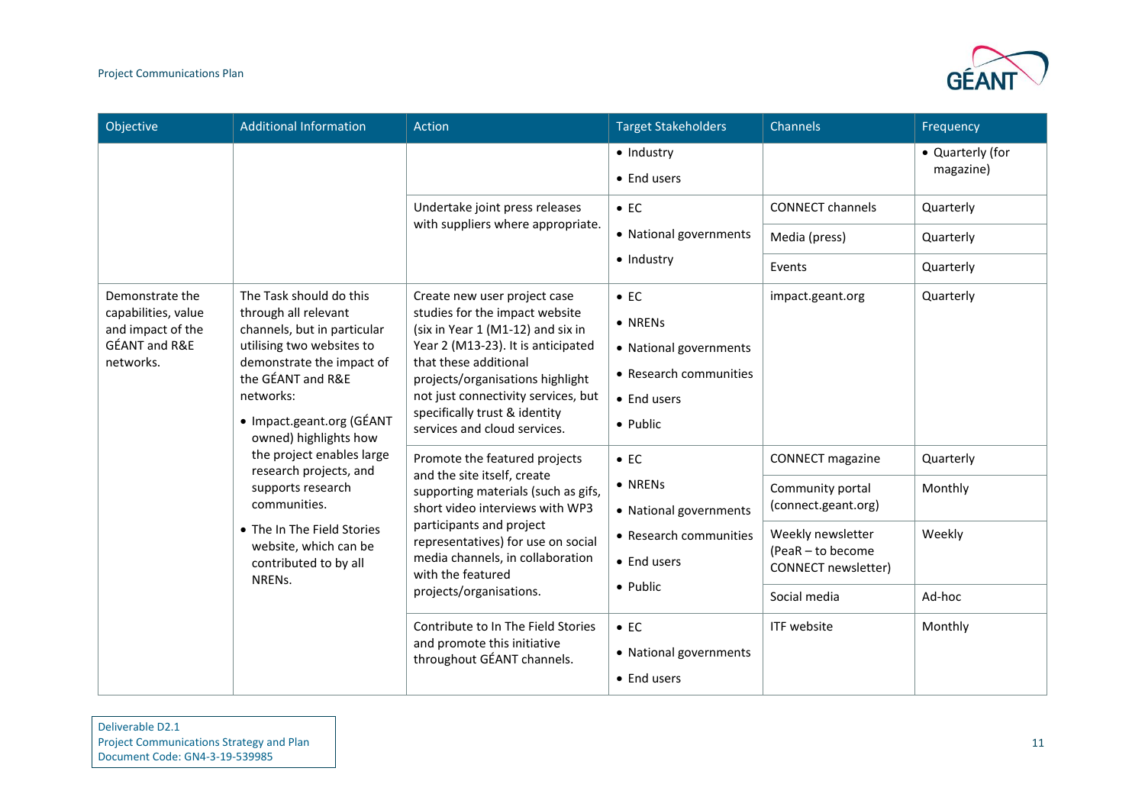

| Objective                                                                                 | <b>Additional Information</b>                                                                                                                                                      | Action                                                                                                                                                                                                                                                            | <b>Target Stakeholders</b>                                                  | Channels                                                      | Frequency                     |
|-------------------------------------------------------------------------------------------|------------------------------------------------------------------------------------------------------------------------------------------------------------------------------------|-------------------------------------------------------------------------------------------------------------------------------------------------------------------------------------------------------------------------------------------------------------------|-----------------------------------------------------------------------------|---------------------------------------------------------------|-------------------------------|
|                                                                                           |                                                                                                                                                                                    |                                                                                                                                                                                                                                                                   | · Industry<br>• End users                                                   |                                                               | • Quarterly (for<br>magazine) |
|                                                                                           |                                                                                                                                                                                    | Undertake joint press releases                                                                                                                                                                                                                                    | $\bullet$ EC                                                                | <b>CONNECT channels</b>                                       | Quarterly                     |
|                                                                                           |                                                                                                                                                                                    | with suppliers where appropriate.                                                                                                                                                                                                                                 | • National governments                                                      | Media (press)                                                 | Quarterly                     |
|                                                                                           |                                                                                                                                                                                    |                                                                                                                                                                                                                                                                   | · Industry                                                                  | Events                                                        | Quarterly                     |
| Demonstrate the<br>capabilities, value                                                    | The Task should do this<br>through all relevant                                                                                                                                    | Create new user project case<br>studies for the impact website                                                                                                                                                                                                    | $\bullet$ EC                                                                | impact.geant.org                                              | Quarterly                     |
| and impact of the                                                                         | channels, but in particular                                                                                                                                                        | (six in Year 1 (M1-12) and six in<br>Year 2 (M13-23). It is anticipated                                                                                                                                                                                           | • NRENs                                                                     |                                                               |                               |
| GÉANT and R&E<br>utilising two websites to<br>networks.<br>the GÉANT and R&E<br>networks: | demonstrate the impact of<br>• Impact.geant.org (GÉANT<br>owned) highlights how                                                                                                    | that these additional<br>projects/organisations highlight<br>not just connectivity services, but<br>specifically trust & identity<br>services and cloud services.                                                                                                 | • National governments<br>• Research communities<br>• End users<br>• Public |                                                               |                               |
|                                                                                           | the project enables large<br>research projects, and<br>supports research<br>communities.<br>• The In The Field Stories<br>website, which can be<br>contributed to by all<br>NRENs. | Promote the featured projects<br>and the site itself, create<br>supporting materials (such as gifs,<br>short video interviews with WP3<br>participants and project<br>representatives) for use on social<br>media channels, in collaboration<br>with the featured | $\bullet$ EC                                                                | <b>CONNECT</b> magazine                                       | Quarterly                     |
|                                                                                           |                                                                                                                                                                                    |                                                                                                                                                                                                                                                                   | • NRENs<br>• National governments<br>• Research communities<br>• End users  | Community portal<br>(connect.geant.org)                       | Monthly                       |
|                                                                                           |                                                                                                                                                                                    |                                                                                                                                                                                                                                                                   |                                                                             | Weekly newsletter<br>(PeaR - to become<br>CONNECT newsletter) | Weekly                        |
|                                                                                           |                                                                                                                                                                                    | projects/organisations.                                                                                                                                                                                                                                           | • Public                                                                    | Social media                                                  | Ad-hoc                        |
|                                                                                           |                                                                                                                                                                                    | Contribute to In The Field Stories<br>and promote this initiative<br>throughout GÉANT channels.                                                                                                                                                                   | $\bullet$ EC<br>• National governments<br>• End users                       | ITF website                                                   | Monthly                       |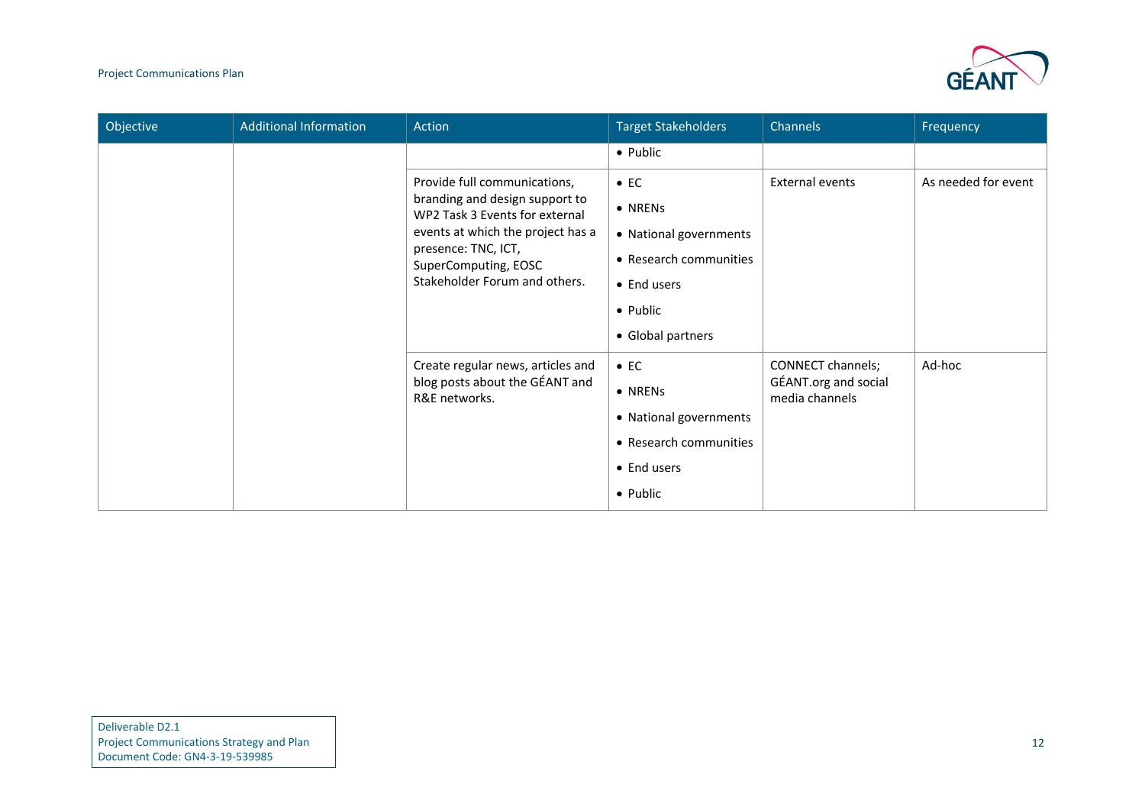### Project Communications Plan



| Objective | <b>Additional Information</b> | Action                                                                                                                                                                                                                | <b>Target Stakeholders</b>                                                                                                          | Channels                                                    | Frequency           |
|-----------|-------------------------------|-----------------------------------------------------------------------------------------------------------------------------------------------------------------------------------------------------------------------|-------------------------------------------------------------------------------------------------------------------------------------|-------------------------------------------------------------|---------------------|
|           |                               |                                                                                                                                                                                                                       | • Public                                                                                                                            |                                                             |                     |
|           |                               | Provide full communications,<br>branding and design support to<br>WP2 Task 3 Events for external<br>events at which the project has a<br>presence: TNC, ICT,<br>SuperComputing, EOSC<br>Stakeholder Forum and others. | $\bullet$ EC<br>• NRENs<br>• National governments<br>• Research communities<br>• End users<br>$\bullet$ Public<br>• Global partners | <b>External events</b>                                      | As needed for event |
|           |                               | Create regular news, articles and<br>blog posts about the GÉANT and<br>R&E networks.                                                                                                                                  | $\bullet$ EC<br>• NRENs<br>• National governments<br>• Research communities<br>• End users<br>• Public                              | CONNECT channels;<br>GÉANT.org and social<br>media channels | Ad-hoc              |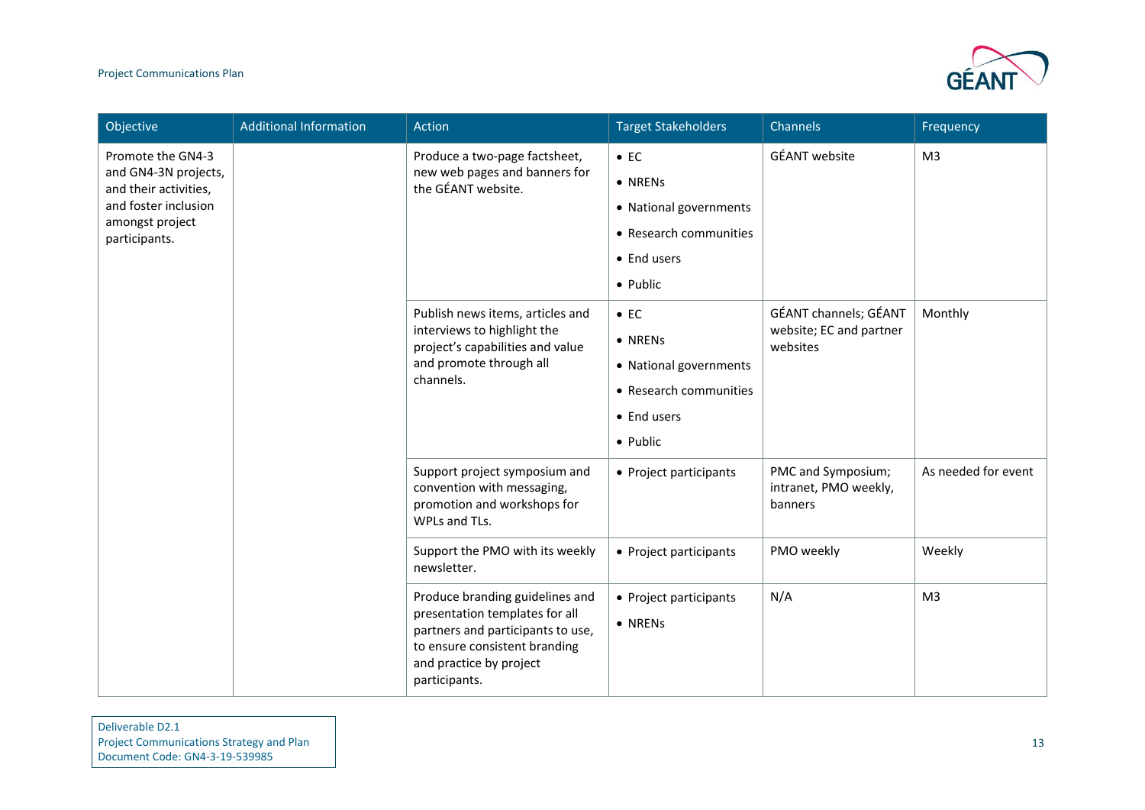### Project Communications Plan



| Objective                                                                                                                      | <b>Additional Information</b> | Action                                                                                                                                                                              | <b>Target Stakeholders</b>                                                                             | Channels                                                     | Frequency           |
|--------------------------------------------------------------------------------------------------------------------------------|-------------------------------|-------------------------------------------------------------------------------------------------------------------------------------------------------------------------------------|--------------------------------------------------------------------------------------------------------|--------------------------------------------------------------|---------------------|
| Promote the GN4-3<br>and GN4-3N projects,<br>and their activities,<br>and foster inclusion<br>amongst project<br>participants. |                               | Produce a two-page factsheet,<br>new web pages and banners for<br>the GÉANT website.                                                                                                | $\bullet$ EC<br>• NRENs<br>• National governments<br>• Research communities<br>• End users<br>• Public | <b>GÉANT</b> website                                         | M <sub>3</sub>      |
|                                                                                                                                |                               | Publish news items, articles and<br>interviews to highlight the<br>project's capabilities and value<br>and promote through all<br>channels.                                         | $\bullet$ EC<br>• NRENs<br>• National governments<br>• Research communities<br>• End users<br>• Public | GÉANT channels; GÉANT<br>website; EC and partner<br>websites | Monthly             |
|                                                                                                                                |                               | Support project symposium and<br>convention with messaging,<br>promotion and workshops for<br>WPLs and TLs.                                                                         | • Project participants                                                                                 | PMC and Symposium;<br>intranet, PMO weekly,<br>banners       | As needed for event |
|                                                                                                                                |                               | Support the PMO with its weekly<br>newsletter.                                                                                                                                      | • Project participants                                                                                 | PMO weekly                                                   | Weekly              |
|                                                                                                                                |                               | Produce branding guidelines and<br>presentation templates for all<br>partners and participants to use,<br>to ensure consistent branding<br>and practice by project<br>participants. | • Project participants<br>• NRENs                                                                      | N/A                                                          | M <sub>3</sub>      |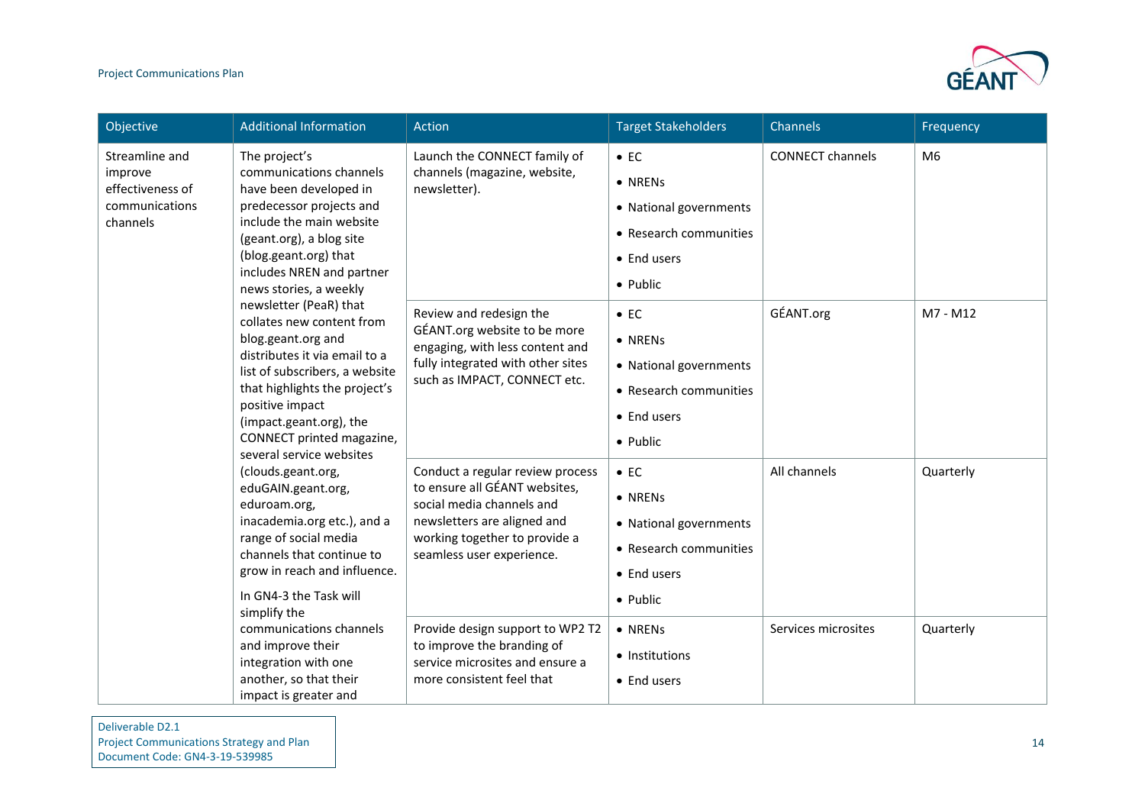

| Objective                                                                                                                                                                                  | <b>Additional Information</b>                                                                                                                                                                                                                                     | Action                                                                                                                                                                                      | <b>Target Stakeholders</b>                                                                             | Channels                | Frequency      |
|--------------------------------------------------------------------------------------------------------------------------------------------------------------------------------------------|-------------------------------------------------------------------------------------------------------------------------------------------------------------------------------------------------------------------------------------------------------------------|---------------------------------------------------------------------------------------------------------------------------------------------------------------------------------------------|--------------------------------------------------------------------------------------------------------|-------------------------|----------------|
| Streamline and<br>The project's<br>improve<br>effectiveness of<br>communications<br>channels<br>positive impact<br>(clouds.geant.org,<br>eduroam.org,<br>simplify the<br>and improve their | communications channels<br>have been developed in<br>predecessor projects and<br>include the main website<br>(geant.org), a blog site<br>(blog.geant.org) that<br>includes NREN and partner<br>news stories, a weekly                                             | Launch the CONNECT family of<br>channels (magazine, website,<br>newsletter).                                                                                                                | $\bullet$ EC<br>• NRENs<br>• National governments<br>• Research communities<br>• End users<br>• Public | <b>CONNECT channels</b> | M <sub>6</sub> |
|                                                                                                                                                                                            | newsletter (PeaR) that<br>collates new content from<br>blog.geant.org and<br>distributes it via email to a<br>list of subscribers, a website<br>that highlights the project's<br>(impact.geant.org), the<br>CONNECT printed magazine,<br>several service websites | Review and redesign the<br>GÉANT.org website to be more<br>engaging, with less content and<br>fully integrated with other sites<br>such as IMPACT, CONNECT etc.                             | $\bullet$ EC<br>• NRENs<br>• National governments<br>• Research communities<br>• End users<br>• Public | GÉANT.org               | M7 - M12       |
|                                                                                                                                                                                            | eduGAIN.geant.org,<br>inacademia.org etc.), and a<br>range of social media<br>channels that continue to<br>grow in reach and influence.<br>In GN4-3 the Task will                                                                                                 | Conduct a regular review process<br>to ensure all GÉANT websites,<br>social media channels and<br>newsletters are aligned and<br>working together to provide a<br>seamless user experience. | $\bullet$ EC<br>• NRENs<br>• National governments<br>• Research communities<br>• End users<br>• Public | All channels            | Quarterly      |
|                                                                                                                                                                                            | communications channels<br>integration with one<br>another, so that their<br>impact is greater and                                                                                                                                                                | Provide design support to WP2 T2<br>to improve the branding of<br>service microsites and ensure a<br>more consistent feel that                                                              | • NRENs<br>• Institutions<br>• End users                                                               | Services microsites     | Quarterly      |

Deliverable D2.1 Project Communications Strategy and Plan Document Code: GN4-3-19-539985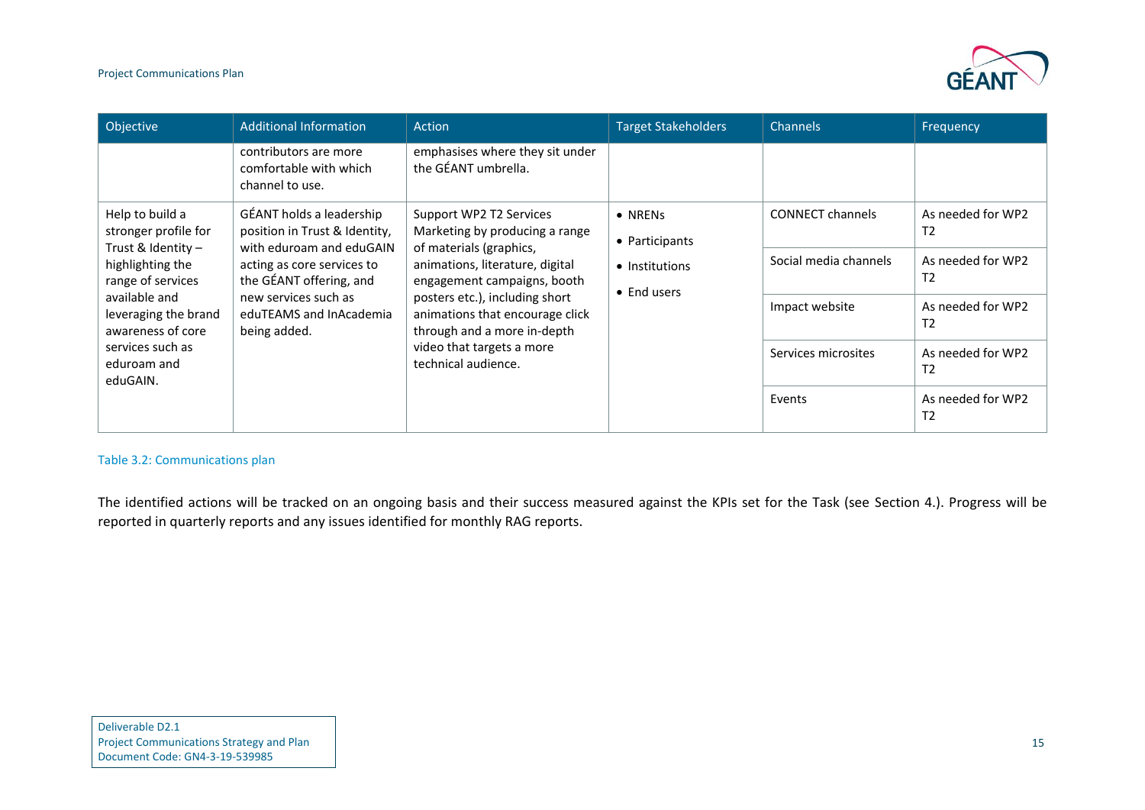

| Objective                                                                                                                                                                | <b>Additional Information</b>                                                                                                                                                                                     | <b>Action</b>                                                                                                                                                                                                                                                                                                  | <b>Target Stakeholders</b>                                                                                                                                                | <b>Channels</b>                     | Frequency                           |
|--------------------------------------------------------------------------------------------------------------------------------------------------------------------------|-------------------------------------------------------------------------------------------------------------------------------------------------------------------------------------------------------------------|----------------------------------------------------------------------------------------------------------------------------------------------------------------------------------------------------------------------------------------------------------------------------------------------------------------|---------------------------------------------------------------------------------------------------------------------------------------------------------------------------|-------------------------------------|-------------------------------------|
|                                                                                                                                                                          | contributors are more<br>comfortable with which<br>channel to use.                                                                                                                                                | emphasises where they sit under<br>the GÉANT umbrella.                                                                                                                                                                                                                                                         |                                                                                                                                                                           |                                     |                                     |
| Help to build a<br>stronger profile for                                                                                                                                  | GÉANT holds a leadership<br>position in Trust & Identity,<br>with eduroam and eduGAIN<br>acting as core services to<br>the GÉANT offering, and<br>new services such as<br>eduTEAMS and InAcademia<br>being added. | Support WP2 T2 Services<br>Marketing by producing a range<br>of materials (graphics,<br>animations, literature, digital<br>engagement campaigns, booth<br>posters etc.), including short<br>animations that encourage click<br>through and a more in-depth<br>video that targets a more<br>technical audience. | <b>CONNECT channels</b><br>• NRENs<br>• Participants<br>Social media channels<br>• Institutions<br>$\bullet$ End users<br>Impact website<br>Services microsites<br>Events | As needed for WP2<br>T <sub>2</sub> |                                     |
| Trust & Identity -<br>highlighting the<br>range of services<br>available and<br>leveraging the brand<br>awareness of core<br>services such as<br>eduroam and<br>eduGAIN. |                                                                                                                                                                                                                   |                                                                                                                                                                                                                                                                                                                |                                                                                                                                                                           |                                     | As needed for WP2<br>T <sub>2</sub> |
|                                                                                                                                                                          |                                                                                                                                                                                                                   |                                                                                                                                                                                                                                                                                                                |                                                                                                                                                                           |                                     | As needed for WP2<br>T <sub>2</sub> |
|                                                                                                                                                                          |                                                                                                                                                                                                                   |                                                                                                                                                                                                                                                                                                                |                                                                                                                                                                           |                                     | As needed for WP2<br>T <sub>2</sub> |
|                                                                                                                                                                          |                                                                                                                                                                                                                   |                                                                                                                                                                                                                                                                                                                |                                                                                                                                                                           |                                     | As needed for WP2<br>T <sub>2</sub> |

### Table 3.2: Communications plan

<span id="page-16-0"></span>The identified actions will be tracked on an ongoing basis and their success measured against the KPIs set for the Task (see Section 4.). Progress will be reported in quarterly reports and any issues identified for monthly RAG reports.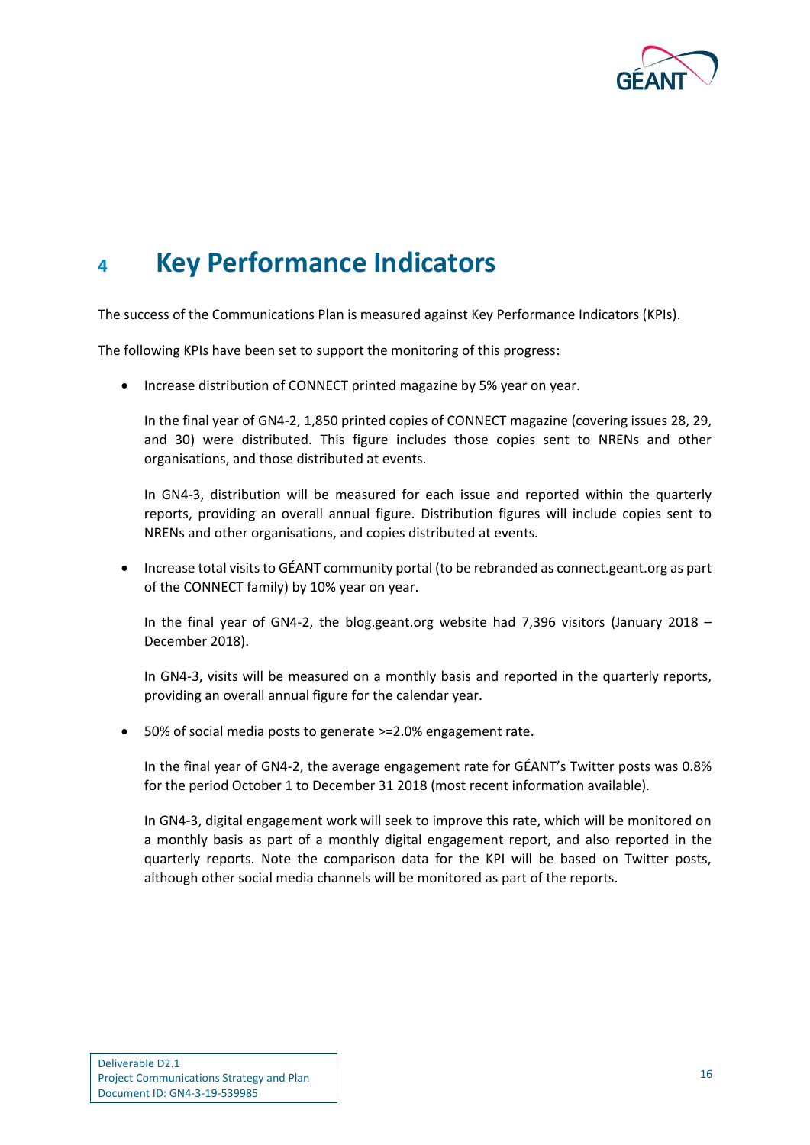

## <span id="page-17-0"></span>**<sup>4</sup> Key Performance Indicators**

The success of the Communications Plan is measured against Key Performance Indicators (KPIs).

The following KPIs have been set to support the monitoring of this progress:

• Increase distribution of CONNECT printed magazine by 5% year on year.

In the final year of GN4-2, 1,850 printed copies of CONNECT magazine (covering issues 28, 29, and 30) were distributed. This figure includes those copies sent to NRENs and other organisations, and those distributed at events.

In GN4-3, distribution will be measured for each issue and reported within the quarterly reports, providing an overall annual figure. Distribution figures will include copies sent to NRENs and other organisations, and copies distributed at events.

• Increase total visits to GÉANT community portal (to be rebranded as connect.geant.org as part of the CONNECT family) by 10% year on year.

In the final year of GN4-2, the blog.geant.org website had 7,396 visitors (January 2018 – December 2018).

In GN4-3, visits will be measured on a monthly basis and reported in the quarterly reports, providing an overall annual figure for the calendar year.

• 50% of social media posts to generate >=2.0% engagement rate.

In the final year of GN4-2, the average engagement rate for GÉANT's Twitter posts was 0.8% for the period October 1 to December 31 2018 (most recent information available).

In GN4-3, digital engagement work will seek to improve this rate, which will be monitored on a monthly basis as part of a monthly digital engagement report, and also reported in the quarterly reports. Note the comparison data for the KPI will be based on Twitter posts, although other social media channels will be monitored as part of the reports.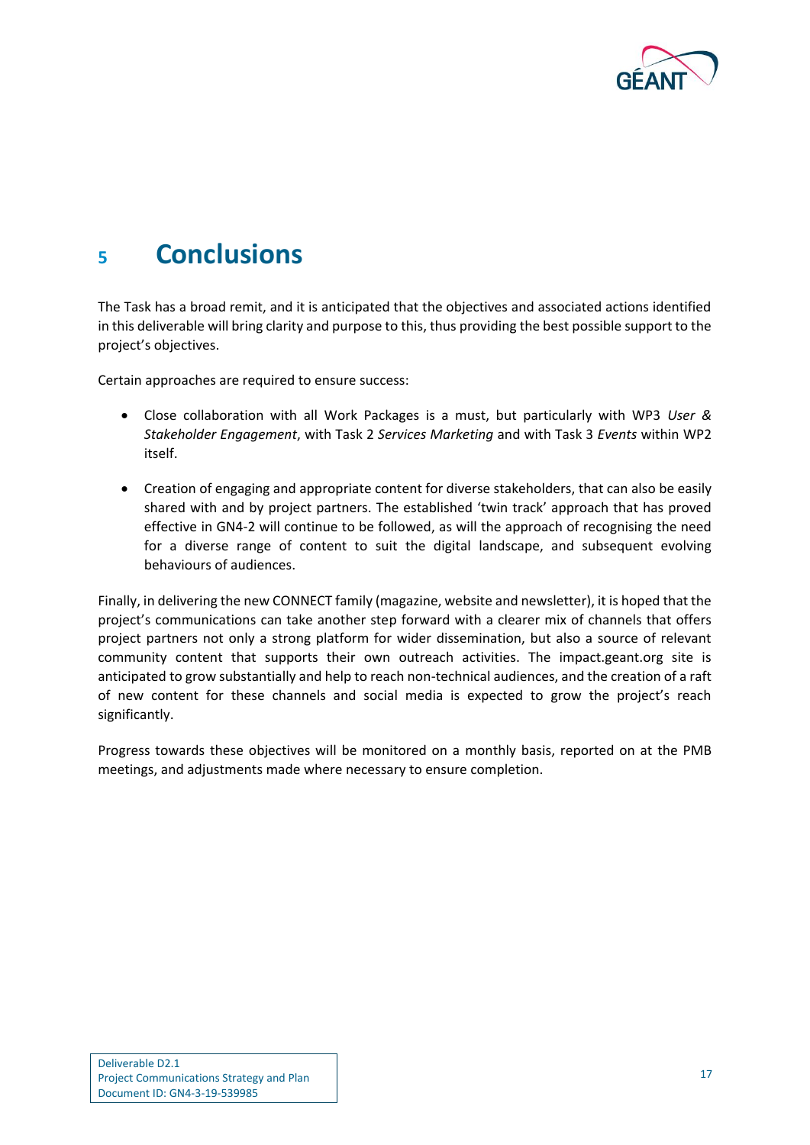

### <span id="page-18-0"></span>**<sup>5</sup> Conclusions**

The Task has a broad remit, and it is anticipated that the objectives and associated actions identified in this deliverable will bring clarity and purpose to this, thus providing the best possible support to the project's objectives.

Certain approaches are required to ensure success:

- Close collaboration with all Work Packages is a must, but particularly with WP3 *User & Stakeholder Engagement*, with Task 2 *Services Marketing* and with Task 3 *Events* within WP2 itself.
- Creation of engaging and appropriate content for diverse stakeholders, that can also be easily shared with and by project partners. The established 'twin track' approach that has proved effective in GN4-2 will continue to be followed, as will the approach of recognising the need for a diverse range of content to suit the digital landscape, and subsequent evolving behaviours of audiences.

Finally, in delivering the new CONNECT family (magazine, website and newsletter), it is hoped that the project's communications can take another step forward with a clearer mix of channels that offers project partners not only a strong platform for wider dissemination, but also a source of relevant community content that supports their own outreach activities. The impact.geant.org site is anticipated to grow substantially and help to reach non-technical audiences, and the creation of a raft of new content for these channels and social media is expected to grow the project's reach significantly.

Progress towards these objectives will be monitored on a monthly basis, reported on at the PMB meetings, and adjustments made where necessary to ensure completion.